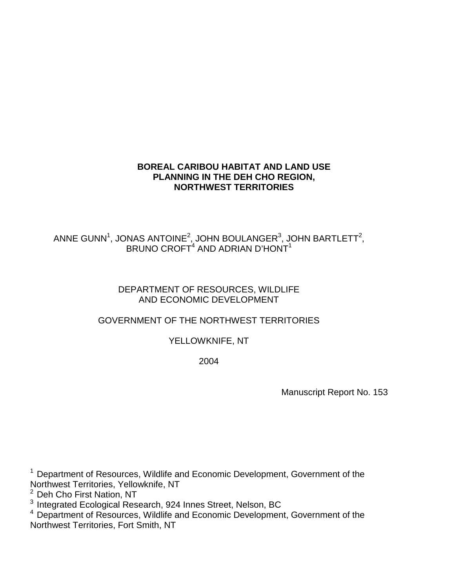# **BOREAL CARIBOU HABITAT AND LAND USE PLANNING IN THE DEH CHO REGION, NORTHWEST TERRITORIES**

# ANNE GUNN $^1$ , JONAS ANTOINE $^2$ , JOHN BOULANGER $^3$ , JOHN BARTLETT $^2$ , BRUNO CROFT<sup>4</sup> AND ADRIAN D'HONT<sup>1</sup>

## DEPARTMENT OF RESOURCES, WILDLIFE AND ECONOMIC DEVELOPMENT

# GOVERNMENT OF THE NORTHWEST TERRITORIES

# YELLOWKNIFE, NT

2004

Manuscript Report No. 153

 $1$  Department of Resources, Wildlife and Economic Development, Government of the Northwest Territories, Yellowknife, NT

 $^2$  Deh Cho First Nation, NT<br> $^3$  Integrated Ecological Research, 924 Innes Street, Nelson, BC

<sup>4</sup> Department of Resources, Wildlife and Economic Development, Government of the Northwest Territories, Fort Smith, NT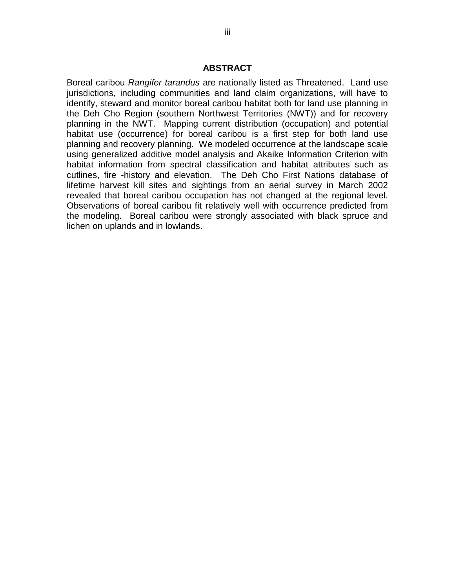### **ABSTRACT**

Boreal caribou *Rangifer tarandus* are nationally listed as Threatened. Land use jurisdictions, including communities and land claim organizations, will have to identify, steward and monitor boreal caribou habitat both for land use planning in the Deh Cho Region (southern Northwest Territories (NWT)) and for recovery planning in the NWT. Mapping current distribution (occupation) and potential habitat use (occurrence) for boreal caribou is a first step for both land use planning and recovery planning. We modeled occurrence at the landscape scale using generalized additive model analysis and Akaike Information Criterion with habitat information from spectral classification and habitat attributes such as cutlines, fire -history and elevation. The Deh Cho First Nations database of lifetime harvest kill sites and sightings from an aerial survey in March 2002 revealed that boreal caribou occupation has not changed at the regional level. Observations of boreal caribou fit relatively well with occurrence predicted from the modeling. Boreal caribou were strongly associated with black spruce and lichen on uplands and in lowlands.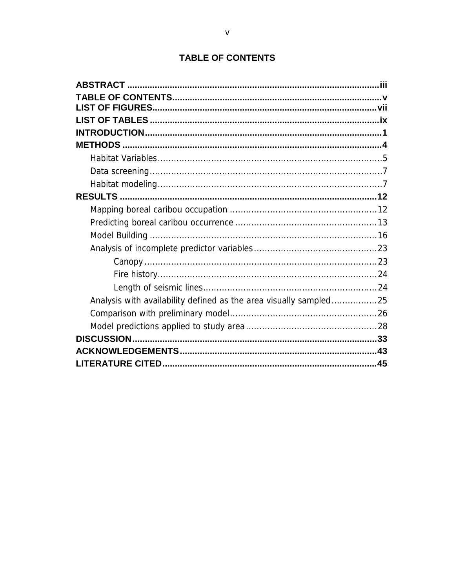| <b>TABLE OF CONTENTS</b> |  |  |
|--------------------------|--|--|

| Analysis with availability defined as the area visually sampled25 |  |
|-------------------------------------------------------------------|--|
|                                                                   |  |
|                                                                   |  |
|                                                                   |  |
|                                                                   |  |
|                                                                   |  |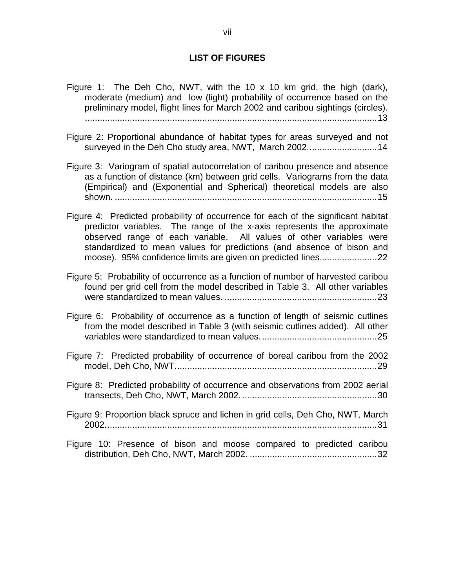### **LIST OF FIGURES**

- Figure 1: The Deh Cho, NWT, with the 10 x 10 km grid, the high (dark), moderate (medium) and low (light) probability of occurrence based on the preliminary model, flight lines for March 2002 and caribou sightings (circles). .....................................................................................................................13
- Figure 2: Proportional abundance of habitat types for areas surveyed and not surveyed in the Deh Cho study area, NWT, March 2002............................14
- Figure 3: Variogram of spatial autocorrelation of caribou presence and absence as a function of distance (km) between grid cells. Variograms from the data (Empirical) and (Exponential and Spherical) theoretical models are also shown. .........................................................................................................15
- Figure 4: Predicted probability of occurrence for each of the significant habitat predictor variables. The range of the x-axis represents the approximate observed range of each variable. All values of other variables were standardized to mean values for predictions (and absence of bison and moose). 95% confidence limits are given on predicted lines.......................22
- Figure 5: Probability of occurrence as a function of number of harvested caribou found per grid cell from the model described in Table 3. All other variables were standardized to mean values. .............................................................23
- Figure 6: Probability of occurrence as a function of length of seismic cutlines from the model described in Table 3 (with seismic cutlines added). All other variables were standardized to mean values...............................................25
- Figure 7: Predicted probability of occurrence of boreal caribou from the 2002 model, Deh Cho, NWT.................................................................................29
- Figure 8: Predicted probability of occurrence and observations from 2002 aerial transects, Deh Cho, NWT, March 2002. ......................................................30
- Figure 9: Proportion black spruce and lichen in grid cells, Deh Cho, NWT, March 2002.............................................................................................................31
- Figure 10: Presence of bison and moose compared to predicted caribou distribution, Deh Cho, NWT, March 2002. ...................................................32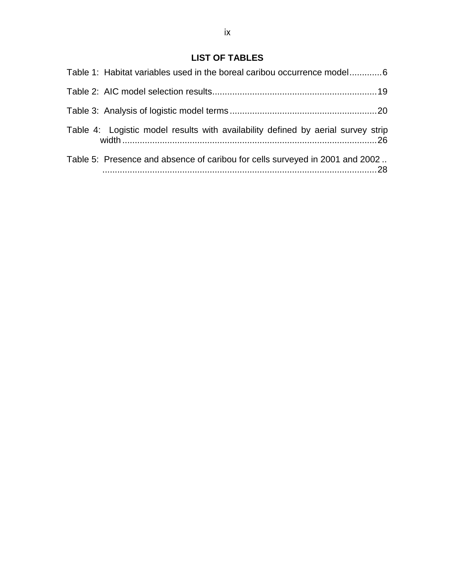# **LIST OF TABLES**

| Table 1: Habitat variables used in the boreal caribou occurrence model6          |
|----------------------------------------------------------------------------------|
|                                                                                  |
|                                                                                  |
| Table 4: Logistic model results with availability defined by aerial survey strip |
| Table 5: Presence and absence of caribou for cells surveyed in 2001 and 2002     |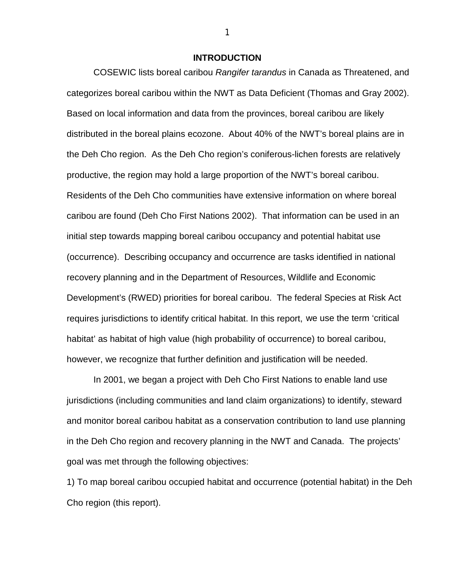#### **INTRODUCTION**

COSEWIC lists boreal caribou *Rangifer tarandus* in Canada as Threatened, and categorizes boreal caribou within the NWT as Data Deficient (Thomas and Gray 2002). Based on local information and data from the provinces, boreal caribou are likely distributed in the boreal plains ecozone. About 40% of the NWT's boreal plains are in the Deh Cho region. As the Deh Cho region's coniferous-lichen forests are relatively productive, the region may hold a large proportion of the NWT's boreal caribou. Residents of the Deh Cho communities have extensive information on where boreal caribou are found (Deh Cho First Nations 2002). That information can be used in an initial step towards mapping boreal caribou occupancy and potential habitat use (occurrence). Describing occupancy and occurrence are tasks identified in national recovery planning and in the Department of Resources, Wildlife and Economic Development's (RWED) priorities for boreal caribou. The federal Species at Risk Act requires jurisdictions to identify critical habitat. In this report, we use the term 'critical habitat' as habitat of high value (high probability of occurrence) to boreal caribou, however, we recognize that further definition and justification will be needed.

In 2001, we began a project with Deh Cho First Nations to enable land use jurisdictions (including communities and land claim organizations) to identify, steward and monitor boreal caribou habitat as a conservation contribution to land use planning in the Deh Cho region and recovery planning in the NWT and Canada. The projects' goal was met through the following objectives:

1) To map boreal caribou occupied habitat and occurrence (potential habitat) in the Deh Cho region (this report).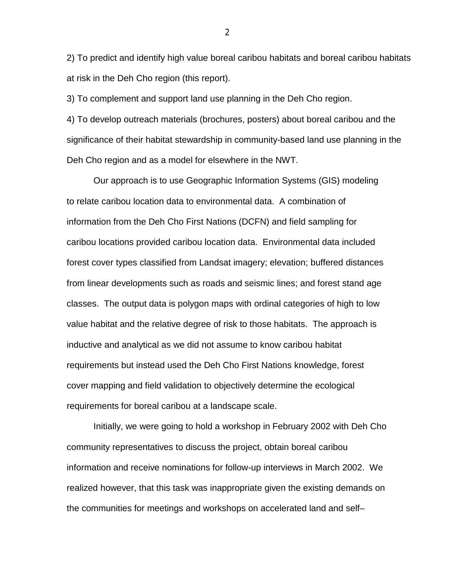2) To predict and identify high value boreal caribou habitats and boreal caribou habitats at risk in the Deh Cho region (this report).

3) To complement and support land use planning in the Deh Cho region.

4) To develop outreach materials (brochures, posters) about boreal caribou and the significance of their habitat stewardship in community-based land use planning in the Deh Cho region and as a model for elsewhere in the NWT.

Our approach is to use Geographic Information Systems (GIS) modeling to relate caribou location data to environmental data. A combination of information from the Deh Cho First Nations (DCFN) and field sampling for caribou locations provided caribou location data. Environmental data included forest cover types classified from Landsat imagery; elevation; buffered distances from linear developments such as roads and seismic lines; and forest stand age classes. The output data is polygon maps with ordinal categories of high to low value habitat and the relative degree of risk to those habitats. The approach is inductive and analytical as we did not assume to know caribou habitat requirements but instead used the Deh Cho First Nations knowledge, forest cover mapping and field validation to objectively determine the ecological requirements for boreal caribou at a landscape scale.

 Initially, we were going to hold a workshop in February 2002 with Deh Cho community representatives to discuss the project, obtain boreal caribou information and receive nominations for follow-up interviews in March 2002. We realized however, that this task was inappropriate given the existing demands on the communities for meetings and workshops on accelerated land and self–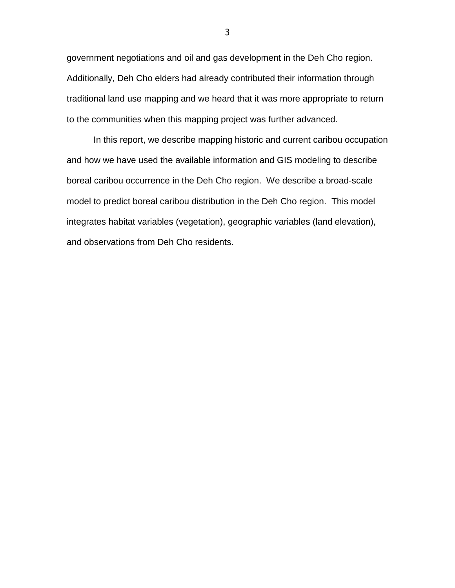government negotiations and oil and gas development in the Deh Cho region. Additionally, Deh Cho elders had already contributed their information through traditional land use mapping and we heard that it was more appropriate to return to the communities when this mapping project was further advanced.

In this report, we describe mapping historic and current caribou occupation and how we have used the available information and GIS modeling to describe boreal caribou occurrence in the Deh Cho region. We describe a broad-scale model to predict boreal caribou distribution in the Deh Cho region. This model integrates habitat variables (vegetation), geographic variables (land elevation), and observations from Deh Cho residents.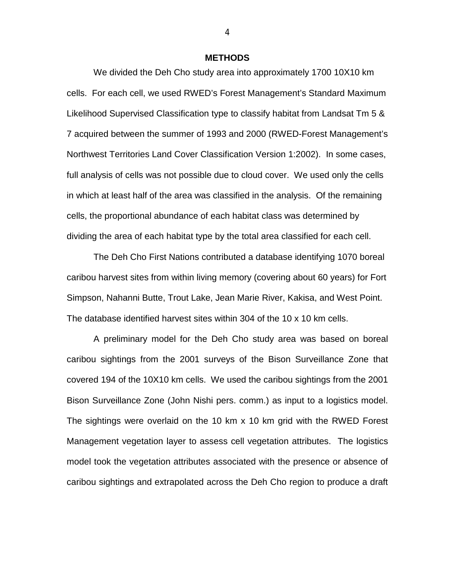#### **METHODS**

We divided the Deh Cho study area into approximately 1700 10X10 km cells. For each cell, we used RWED's Forest Management's Standard Maximum Likelihood Supervised Classification type to classify habitat from Landsat Tm 5 & 7 acquired between the summer of 1993 and 2000 (RWED-Forest Management's Northwest Territories Land Cover Classification Version 1:2002). In some cases, full analysis of cells was not possible due to cloud cover. We used only the cells in which at least half of the area was classified in the analysis. Of the remaining cells, the proportional abundance of each habitat class was determined by dividing the area of each habitat type by the total area classified for each cell.

The Deh Cho First Nations contributed a database identifying 1070 boreal caribou harvest sites from within living memory (covering about 60 years) for Fort Simpson, Nahanni Butte, Trout Lake, Jean Marie River, Kakisa, and West Point. The database identified harvest sites within 304 of the 10 x 10 km cells.

A preliminary model for the Deh Cho study area was based on boreal caribou sightings from the 2001 surveys of the Bison Surveillance Zone that covered 194 of the 10X10 km cells. We used the caribou sightings from the 2001 Bison Surveillance Zone (John Nishi pers. comm.) as input to a logistics model. The sightings were overlaid on the 10 km x 10 km grid with the RWED Forest Management vegetation layer to assess cell vegetation attributes. The logistics model took the vegetation attributes associated with the presence or absence of caribou sightings and extrapolated across the Deh Cho region to produce a draft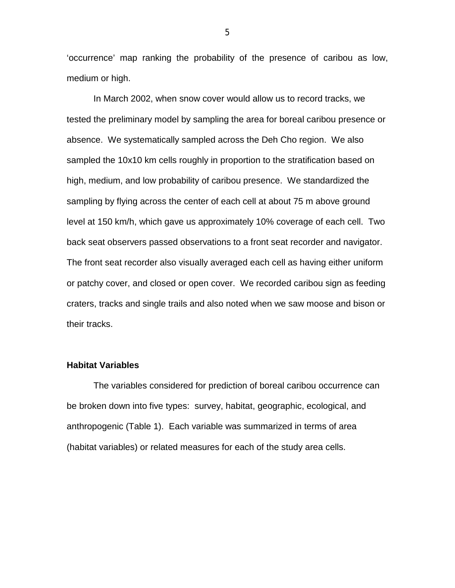'occurrence' map ranking the probability of the presence of caribou as low, medium or high.

In March 2002, when snow cover would allow us to record tracks, we tested the preliminary model by sampling the area for boreal caribou presence or absence. We systematically sampled across the Deh Cho region. We also sampled the 10x10 km cells roughly in proportion to the stratification based on high, medium, and low probability of caribou presence. We standardized the sampling by flying across the center of each cell at about 75 m above ground level at 150 km/h, which gave us approximately 10% coverage of each cell. Two back seat observers passed observations to a front seat recorder and navigator. The front seat recorder also visually averaged each cell as having either uniform or patchy cover, and closed or open cover. We recorded caribou sign as feeding craters, tracks and single trails and also noted when we saw moose and bison or their tracks.

## **Habitat Variables**

The variables considered for prediction of boreal caribou occurrence can be broken down into five types: survey, habitat, geographic, ecological, and anthropogenic (Table 1). Each variable was summarized in terms of area (habitat variables) or related measures for each of the study area cells.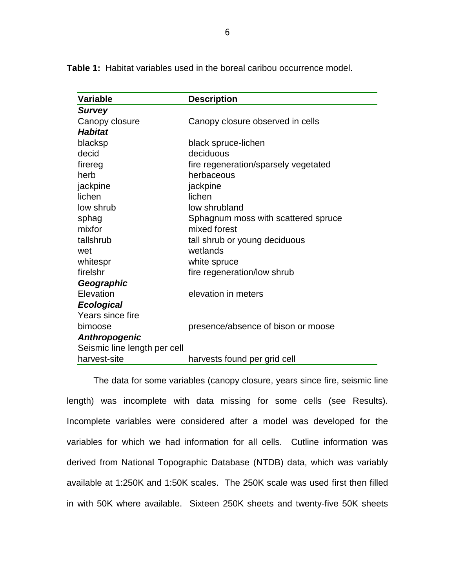**Table 1:** Habitat variables used in the boreal caribou occurrence model.

| <b>Variable</b>              | <b>Description</b>                   |
|------------------------------|--------------------------------------|
| <b>Survey</b>                |                                      |
| Canopy closure               | Canopy closure observed in cells     |
| <b>Habitat</b>               |                                      |
| blacksp                      | black spruce-lichen                  |
| decid                        | deciduous                            |
| firereg                      | fire regeneration/sparsely vegetated |
| herb                         | herbaceous                           |
| jackpine                     | jackpine                             |
| lichen                       | lichen                               |
| low shrub                    | low shrubland                        |
| sphag                        | Sphagnum moss with scattered spruce  |
| mixfor                       | mixed forest                         |
| tallshrub                    | tall shrub or young deciduous        |
| wet                          | wetlands                             |
| whitespr                     | white spruce                         |
| firelshr                     | fire regeneration/low shrub          |
| Geographic                   |                                      |
| Elevation                    | elevation in meters                  |
| <b>Ecological</b>            |                                      |
| Years since fire             |                                      |
| bimoose                      | presence/absence of bison or moose   |
| <b>Anthropogenic</b>         |                                      |
| Seismic line length per cell |                                      |
| harvest-site                 | harvests found per grid cell         |

The data for some variables (canopy closure, years since fire, seismic line length) was incomplete with data missing for some cells (see Results). Incomplete variables were considered after a model was developed for the variables for which we had information for all cells. Cutline information was derived from National Topographic Database (NTDB) data, which was variably available at 1:250K and 1:50K scales. The 250K scale was used first then filled in with 50K where available. Sixteen 250K sheets and twenty-five 50K sheets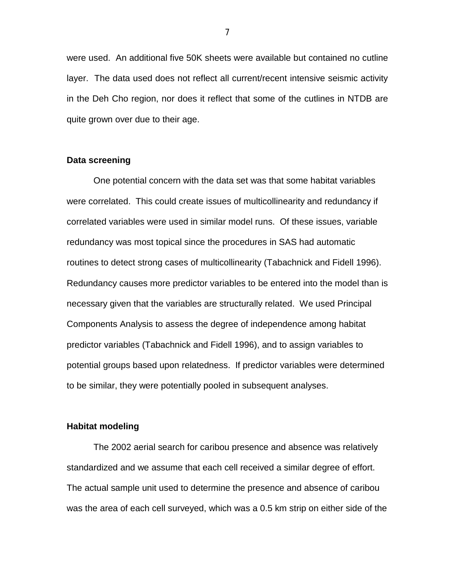were used. An additional five 50K sheets were available but contained no cutline layer. The data used does not reflect all current/recent intensive seismic activity in the Deh Cho region, nor does it reflect that some of the cutlines in NTDB are quite grown over due to their age.

### **Data screening**

One potential concern with the data set was that some habitat variables were correlated. This could create issues of multicollinearity and redundancy if correlated variables were used in similar model runs. Of these issues, variable redundancy was most topical since the procedures in SAS had automatic routines to detect strong cases of multicollinearity (Tabachnick and Fidell 1996). Redundancy causes more predictor variables to be entered into the model than is necessary given that the variables are structurally related. We used Principal Components Analysis to assess the degree of independence among habitat predictor variables (Tabachnick and Fidell 1996), and to assign variables to potential groups based upon relatedness. If predictor variables were determined to be similar, they were potentially pooled in subsequent analyses.

### **Habitat modeling**

The 2002 aerial search for caribou presence and absence was relatively standardized and we assume that each cell received a similar degree of effort. The actual sample unit used to determine the presence and absence of caribou was the area of each cell surveyed, which was a 0.5 km strip on either side of the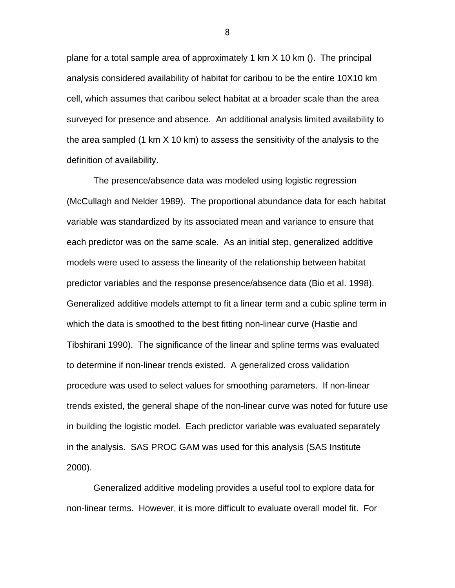plane for a total sample area of approximately 1 km X 10 km (). The principal analysis considered availability of habitat for caribou to be the entire 10X10 km cell, which assumes that caribou select habitat at a broader scale than the area surveyed for presence and absence. An additional analysis limited availability to the area sampled (1 km X 10 km) to assess the sensitivity of the analysis to the definition of availability.

The presence/absence data was modeled using logistic regression (McCullagh and Nelder 1989). The proportional abundance data for each habitat variable was standardized by its associated mean and variance to ensure that each predictor was on the same scale. As an initial step, generalized additive models were used to assess the linearity of the relationship between habitat predictor variables and the response presence/absence data (Bio et al. 1998). Generalized additive models attempt to fit a linear term and a cubic spline term in which the data is smoothed to the best fitting non-linear curve (Hastie and Tibshirani 1990). The significance of the linear and spline terms was evaluated to determine if non-linear trends existed. A generalized cross validation procedure was used to select values for smoothing parameters. If non-linear trends existed, the general shape of the non-linear curve was noted for future use in building the logistic model. Each predictor variable was evaluated separately in the analysis. SAS PROC GAM was used for this analysis (SAS Institute 2000).

Generalized additive modeling provides a useful tool to explore data for non-linear terms. However, it is more difficult to evaluate overall model fit. For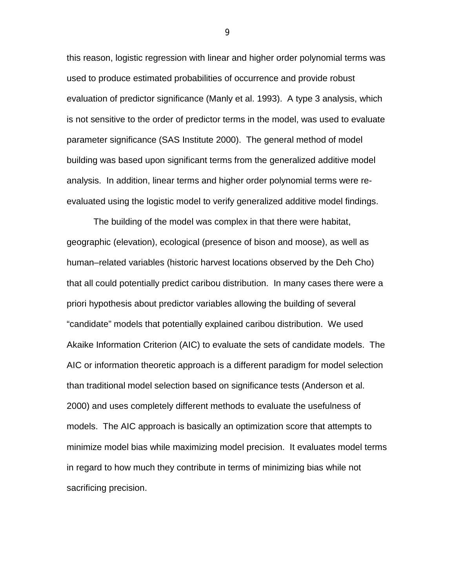this reason, logistic regression with linear and higher order polynomial terms was used to produce estimated probabilities of occurrence and provide robust evaluation of predictor significance (Manly et al. 1993). A type 3 analysis, which is not sensitive to the order of predictor terms in the model, was used to evaluate parameter significance (SAS Institute 2000). The general method of model building was based upon significant terms from the generalized additive model analysis. In addition, linear terms and higher order polynomial terms were reevaluated using the logistic model to verify generalized additive model findings.

The building of the model was complex in that there were habitat, geographic (elevation), ecological (presence of bison and moose), as well as human–related variables (historic harvest locations observed by the Deh Cho) that all could potentially predict caribou distribution. In many cases there were a priori hypothesis about predictor variables allowing the building of several "candidate" models that potentially explained caribou distribution. We used Akaike Information Criterion (AIC) to evaluate the sets of candidate models. The AIC or information theoretic approach is a different paradigm for model selection than traditional model selection based on significance tests (Anderson et al. 2000) and uses completely different methods to evaluate the usefulness of models. The AIC approach is basically an optimization score that attempts to minimize model bias while maximizing model precision. It evaluates model terms in regard to how much they contribute in terms of minimizing bias while not sacrificing precision.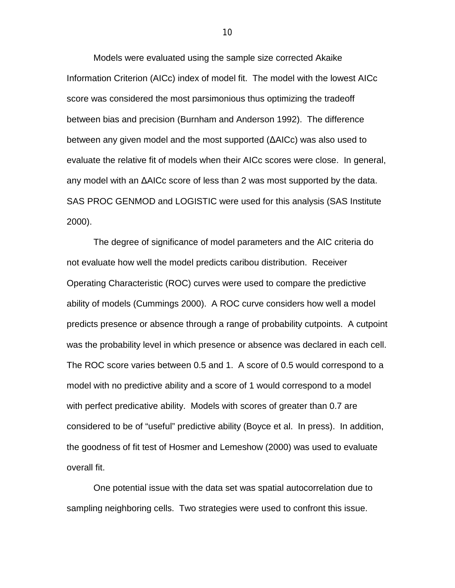Models were evaluated using the sample size corrected Akaike Information Criterion (AICc) index of model fit. The model with the lowest AICc score was considered the most parsimonious thus optimizing the tradeoff between bias and precision (Burnham and Anderson 1992). The difference between any given model and the most supported (∆AICc) was also used to evaluate the relative fit of models when their AICc scores were close. In general, any model with an ∆AICc score of less than 2 was most supported by the data. SAS PROC GENMOD and LOGISTIC were used for this analysis (SAS Institute 2000).

The degree of significance of model parameters and the AIC criteria do not evaluate how well the model predicts caribou distribution. Receiver Operating Characteristic (ROC) curves were used to compare the predictive ability of models (Cummings 2000). A ROC curve considers how well a model predicts presence or absence through a range of probability cutpoints. A cutpoint was the probability level in which presence or absence was declared in each cell. The ROC score varies between 0.5 and 1. A score of 0.5 would correspond to a model with no predictive ability and a score of 1 would correspond to a model with perfect predicative ability. Models with scores of greater than 0.7 are considered to be of "useful" predictive ability (Boyce et al. In press). In addition, the goodness of fit test of Hosmer and Lemeshow (2000) was used to evaluate overall fit.

One potential issue with the data set was spatial autocorrelation due to sampling neighboring cells. Two strategies were used to confront this issue.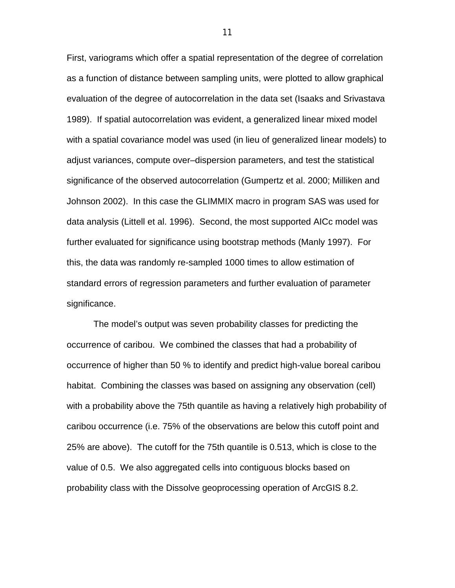First, variograms which offer a spatial representation of the degree of correlation as a function of distance between sampling units, were plotted to allow graphical evaluation of the degree of autocorrelation in the data set (Isaaks and Srivastava 1989). If spatial autocorrelation was evident, a generalized linear mixed model with a spatial covariance model was used (in lieu of generalized linear models) to adjust variances, compute over–dispersion parameters, and test the statistical significance of the observed autocorrelation (Gumpertz et al. 2000; Milliken and Johnson 2002). In this case the GLIMMIX macro in program SAS was used for data analysis (Littell et al. 1996). Second, the most supported AICc model was further evaluated for significance using bootstrap methods (Manly 1997). For this, the data was randomly re-sampled 1000 times to allow estimation of standard errors of regression parameters and further evaluation of parameter significance.

The model's output was seven probability classes for predicting the occurrence of caribou. We combined the classes that had a probability of occurrence of higher than 50 % to identify and predict high-value boreal caribou habitat. Combining the classes was based on assigning any observation (cell) with a probability above the 75th quantile as having a relatively high probability of caribou occurrence (i.e. 75% of the observations are below this cutoff point and 25% are above). The cutoff for the 75th quantile is 0.513, which is close to the value of 0.5. We also aggregated cells into contiguous blocks based on probability class with the Dissolve geoprocessing operation of ArcGIS 8.2.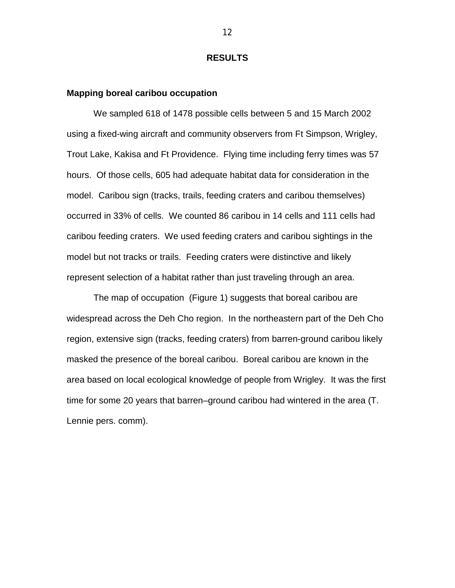#### **RESULTS**

#### **Mapping boreal caribou occupation**

 We sampled 618 of 1478 possible cells between 5 and 15 March 2002 using a fixed-wing aircraft and community observers from Ft Simpson, Wrigley, Trout Lake, Kakisa and Ft Providence. Flying time including ferry times was 57 hours. Of those cells, 605 had adequate habitat data for consideration in the model. Caribou sign (tracks, trails, feeding craters and caribou themselves) occurred in 33% of cells. We counted 86 caribou in 14 cells and 111 cells had caribou feeding craters. We used feeding craters and caribou sightings in the model but not tracks or trails. Feeding craters were distinctive and likely represent selection of a habitat rather than just traveling through an area.

The map of occupation (Figure 1) suggests that boreal caribou are widespread across the Deh Cho region. In the northeastern part of the Deh Cho region, extensive sign (tracks, feeding craters) from barren-ground caribou likely masked the presence of the boreal caribou. Boreal caribou are known in the area based on local ecological knowledge of people from Wrigley. It was the first time for some 20 years that barren–ground caribou had wintered in the area (T. Lennie pers. comm).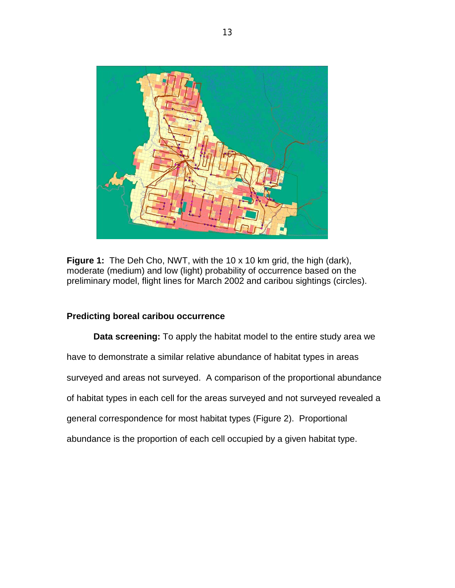

**Figure 1:** The Deh Cho, NWT, with the 10 x 10 km grid, the high (dark), moderate (medium) and low (light) probability of occurrence based on the preliminary model, flight lines for March 2002 and caribou sightings (circles).

## **Predicting boreal caribou occurrence**

**Data screening:** To apply the habitat model to the entire study area we have to demonstrate a similar relative abundance of habitat types in areas surveyed and areas not surveyed. A comparison of the proportional abundance of habitat types in each cell for the areas surveyed and not surveyed revealed a general correspondence for most habitat types (Figure 2). Proportional abundance is the proportion of each cell occupied by a given habitat type.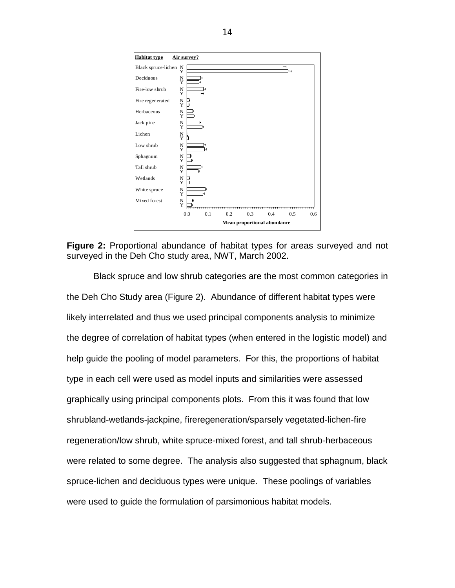

**Figure 2:** Proportional abundance of habitat types for areas surveyed and not surveyed in the Deh Cho study area, NWT, March 2002.

Black spruce and low shrub categories are the most common categories in the Deh Cho Study area (Figure 2). Abundance of different habitat types were likely interrelated and thus we used principal components analysis to minimize the degree of correlation of habitat types (when entered in the logistic model) and help guide the pooling of model parameters. For this, the proportions of habitat type in each cell were used as model inputs and similarities were assessed graphically using principal components plots. From this it was found that low shrubland-wetlands-jackpine, fireregeneration/sparsely vegetated-lichen-fire regeneration/low shrub, white spruce-mixed forest, and tall shrub-herbaceous were related to some degree. The analysis also suggested that sphagnum, black spruce-lichen and deciduous types were unique. These poolings of variables were used to guide the formulation of parsimonious habitat models.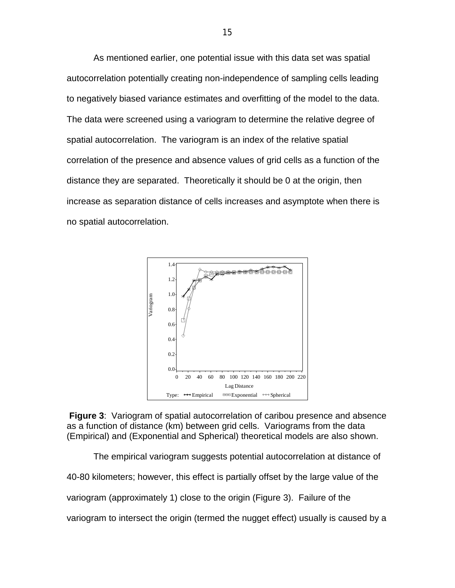As mentioned earlier, one potential issue with this data set was spatial autocorrelation potentially creating non-independence of sampling cells leading to negatively biased variance estimates and overfitting of the model to the data. The data were screened using a variogram to determine the relative degree of spatial autocorrelation. The variogram is an index of the relative spatial correlation of the presence and absence values of grid cells as a function of the distance they are separated. Theoretically it should be 0 at the origin, then increase as separation distance of cells increases and asymptote when there is no spatial autocorrelation.



**Figure 3**: Variogram of spatial autocorrelation of caribou presence and absence as a function of distance (km) between grid cells. Variograms from the data (Empirical) and (Exponential and Spherical) theoretical models are also shown.

The empirical variogram suggests potential autocorrelation at distance of 40-80 kilometers; however, this effect is partially offset by the large value of the variogram (approximately 1) close to the origin (Figure 3). Failure of the variogram to intersect the origin (termed the nugget effect) usually is caused by a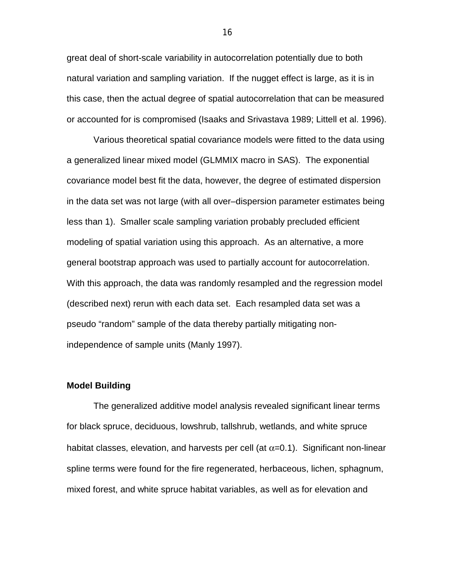great deal of short-scale variability in autocorrelation potentially due to both natural variation and sampling variation. If the nugget effect is large, as it is in this case, then the actual degree of spatial autocorrelation that can be measured or accounted for is compromised (Isaaks and Srivastava 1989; Littell et al. 1996).

Various theoretical spatial covariance models were fitted to the data using a generalized linear mixed model (GLMMIX macro in SAS). The exponential covariance model best fit the data, however, the degree of estimated dispersion in the data set was not large (with all over–dispersion parameter estimates being less than 1). Smaller scale sampling variation probably precluded efficient modeling of spatial variation using this approach. As an alternative, a more general bootstrap approach was used to partially account for autocorrelation. With this approach, the data was randomly resampled and the regression model (described next) rerun with each data set. Each resampled data set was a pseudo "random" sample of the data thereby partially mitigating nonindependence of sample units (Manly 1997).

#### **Model Building**

The generalized additive model analysis revealed significant linear terms for black spruce, deciduous, lowshrub, tallshrub, wetlands, and white spruce habitat classes, elevation, and harvests per cell (at  $\alpha$ =0.1). Significant non-linear spline terms were found for the fire regenerated, herbaceous, lichen, sphagnum, mixed forest, and white spruce habitat variables, as well as for elevation and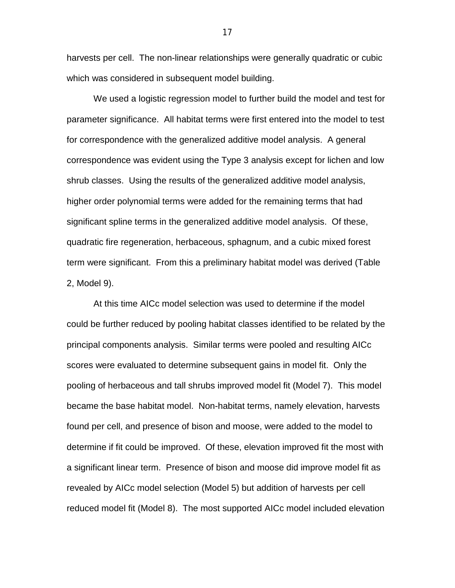harvests per cell. The non-linear relationships were generally quadratic or cubic which was considered in subsequent model building.

We used a logistic regression model to further build the model and test for parameter significance. All habitat terms were first entered into the model to test for correspondence with the generalized additive model analysis. A general correspondence was evident using the Type 3 analysis except for lichen and low shrub classes. Using the results of the generalized additive model analysis, higher order polynomial terms were added for the remaining terms that had significant spline terms in the generalized additive model analysis. Of these, quadratic fire regeneration, herbaceous, sphagnum, and a cubic mixed forest term were significant. From this a preliminary habitat model was derived (Table 2, Model 9).

At this time AICc model selection was used to determine if the model could be further reduced by pooling habitat classes identified to be related by the principal components analysis. Similar terms were pooled and resulting AICc scores were evaluated to determine subsequent gains in model fit. Only the pooling of herbaceous and tall shrubs improved model fit (Model 7). This model became the base habitat model. Non-habitat terms, namely elevation, harvests found per cell, and presence of bison and moose, were added to the model to determine if fit could be improved. Of these, elevation improved fit the most with a significant linear term. Presence of bison and moose did improve model fit as revealed by AICc model selection (Model 5) but addition of harvests per cell reduced model fit (Model 8). The most supported AICc model included elevation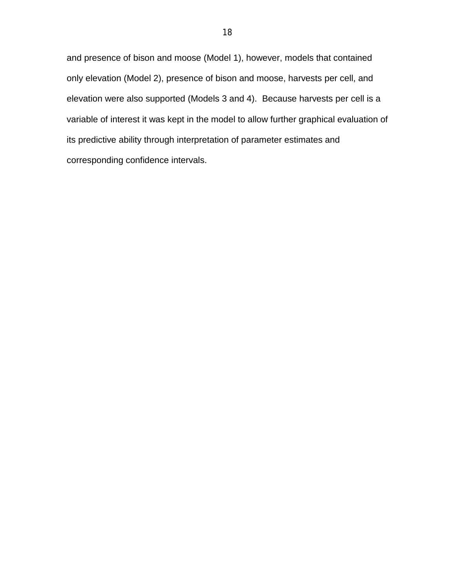and presence of bison and moose (Model 1), however, models that contained only elevation (Model 2), presence of bison and moose, harvests per cell, and elevation were also supported (Models 3 and 4). Because harvests per cell is a variable of interest it was kept in the model to allow further graphical evaluation of its predictive ability through interpretation of parameter estimates and corresponding confidence intervals.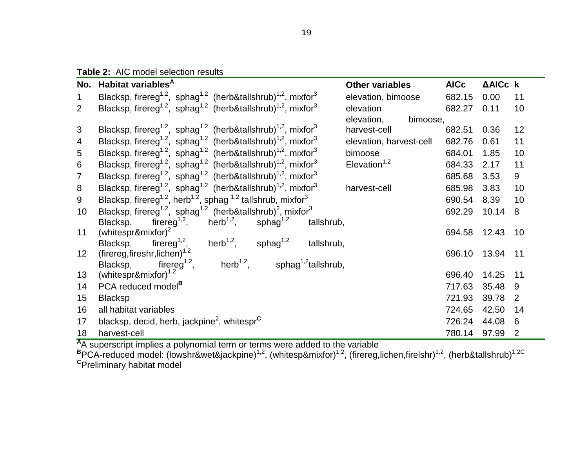**Table 2:** AIC model selection results

|                 | No. Habitat variables <sup>A</sup>                                                                           | <b>Other variables</b>  | <b>AICc</b> | AAICc k |                |
|-----------------|--------------------------------------------------------------------------------------------------------------|-------------------------|-------------|---------|----------------|
|                 | Blacksp, firereg <sup>1,2</sup> , sphag <sup>1,2</sup> (herb&tallshrub) <sup>1,2</sup> , mixfor <sup>3</sup> | elevation, bimoose      | 682.15      | 0.00    | 11             |
| 2               | Blacksp, firereg <sup>1,2</sup> , sphag <sup>1,2</sup> (herb&tallshrub) <sup>1,2</sup> , mixfor <sup>3</sup> | elevation               | 682.27      | 0.11    | 10             |
|                 |                                                                                                              | elevation,<br>bimoose,  |             |         |                |
| 3               | Blacksp, firereg <sup>1,2</sup> , sphag <sup>1,2</sup> (herb&tallshrub) <sup>1,2</sup> , mixfor <sup>3</sup> | harvest-cell            | 682.51      | 0.36    | 12             |
| 4               | Blacksp, firereg <sup>1,2</sup> , sphag <sup>1,2</sup> (herb&tallshrub) <sup>1,2</sup> , mixfor <sup>3</sup> | elevation, harvest-cell | 682.76      | 0.61    | 11             |
| 5               | Blacksp, firereg <sup>1,2</sup> , sphag <sup>1,2</sup> (herb&tallshrub) <sup>1,2</sup> , mixfor <sup>3</sup> | bimoose                 | 684.01      | 1.85    | 10             |
| 6               | Blacksp, firereg <sup>1,2</sup> , sphag <sup>1,2</sup> (herb&tallshrub) <sup>1,2</sup> , mixfor <sup>3</sup> | Elevation $1,2$         | 684.33      | 2.17    | 11             |
| $\overline{7}$  | Blacksp, firereg <sup>1,2</sup> , sphag <sup>1,2</sup> (herb&tallshrub) <sup>1,2</sup> , mixfor <sup>3</sup> |                         | 685.68      | 3.53    | 9              |
| 8               | Blacksp, firereg <sup>1,2</sup> , sphag <sup>1,2</sup> (herb&tallshrub) <sup>1,2</sup> , mixfor <sup>3</sup> | harvest-cell            | 685.98      | 3.83    | 10             |
| 9               | Blacksp, firereg <sup>1,2</sup> , herb <sup>1,2</sup> , sphag <sup>1,2</sup> tallshrub, mixfor <sup>3</sup>  |                         | 690.54      | 8.39    | 10             |
| 10              | Blacksp, firereg <sup>1,2</sup> , sphag <sup>1,2</sup> (herb&tallshrub) <sup>2</sup> , mixfor <sup>3</sup>   |                         | 692.29      | 10.14   | 8              |
|                 | firereg <sup>1,2</sup> ,<br>herb $^{1,2},$<br>sphag <sup>1,2</sup><br>Blacksp,<br>tallshrub,                 |                         |             |         |                |
| 11              | (whitespr&mixfor) $^{2}$                                                                                     |                         | 694.58      | 12.43   | 10             |
|                 | herb <sup>1,2</sup> , sphag <sup>1,2</sup><br>firereg <sup>1,2</sup> ,<br>Blacksp,<br>tallshrub,             |                         |             |         |                |
| 12 <sup>2</sup> | (firereg, fireshr, lichen) <sup>1,2</sup>                                                                    |                         | 696.10      | 13.94   | 11             |
|                 | herb <sup>1,2</sup> , sphag <sup>1,2</sup> tallshrub,<br>firereg <sup>1,2</sup> ,<br>Blacksp,                |                         |             |         |                |
| 13              | (whitespr&mixfor) <sup>1,2</sup>                                                                             |                         | 696.40      | 14.25   | 11             |
| 14              | PCA reduced model <sup>B</sup>                                                                               |                         | 717.63      | 35.48   | -9             |
| 15              | <b>Blacksp</b>                                                                                               |                         | 721.93      | 39.78   | $\overline{2}$ |
| 16              | all habitat variables                                                                                        |                         | 724.65      | 42.50   | 14             |
| 17              | blacksp, decid, herb, jackpine <sup>2</sup> , whitespr $c$                                                   |                         | 726.24      | 44.08   | 6              |
| 18              | harvest-cell                                                                                                 |                         | 780.14      | 97.99   | $\overline{2}$ |

<sup>A</sup>A superscript implies a polynomial term or terms were added to the variable<br><sup>B</sup>PCA-reduced model: (lowshr&wet&jackpine)<sup>1,2</sup>, (whitesp&mixfor)<sup>1,2</sup>, (firereg,lichen,firelshr)<sup>1,2</sup>, (herb&tallshrub)<sup>1,2C</sup><br><sup>C</sup>Preliminary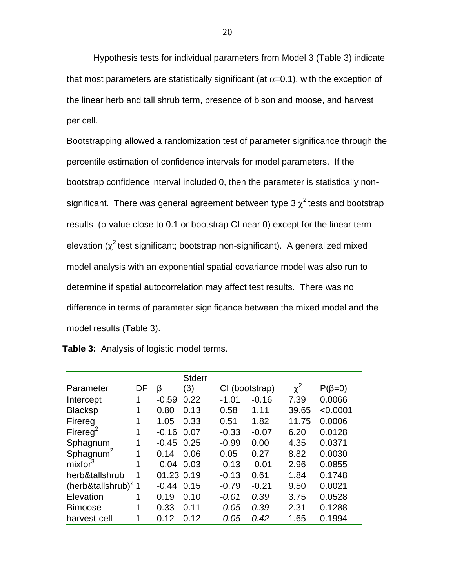Hypothesis tests for individual parameters from Model 3 (Table 3) indicate that most parameters are statistically significant (at  $\alpha$ =0.1), with the exception of the linear herb and tall shrub term, presence of bison and moose, and harvest per cell.

Bootstrapping allowed a randomization test of parameter significance through the percentile estimation of confidence intervals for model parameters. If the bootstrap confidence interval included 0, then the parameter is statistically nonsignificant. There was general agreement between type 3  $\chi^2$  tests and bootstrap results (p-value close to 0.1 or bootstrap CI near 0) except for the linear term elevation ( $\chi^2$  test significant; bootstrap non-significant). A generalized mixed model analysis with an exponential spatial covariance model was also run to determine if spatial autocorrelation may affect test results. There was no difference in terms of parameter significance between the mixed model and the model results (Table 3).

|                                 |    |            | <b>Stderr</b> |                |         |            |              |
|---------------------------------|----|------------|---------------|----------------|---------|------------|--------------|
| Parameter                       | DF | β          | (ß)           | CI (bootstrap) |         | $\gamma^2$ | $P(\beta=0)$ |
| Intercept                       | 1  | $-0.59$    | 0.22          | $-1.01$        | $-0.16$ | 7.39       | 0.0066       |
| <b>Blacksp</b>                  | 1  | 0.80       | 0.13          | 0.58           | 1.11    | 39.65      | < 0.0001     |
| Firereg                         | 1  | 1.05       | 0.33          | 0.51           | 1.82    | 11.75      | 0.0006       |
| Firereg <sup>2</sup>            | 1  | $-0.16$    | 0.07          | $-0.33$        | $-0.07$ | 6.20       | 0.0128       |
| Sphagnum                        | 1  | $-0.45$    | 0.25          | $-0.99$        | 0.00    | 4.35       | 0.0371       |
| Sphagnum <sup>2</sup>           | 1  | 0.14       | 0.06          | 0.05           | 0.27    | 8.82       | 0.0030       |
| mixfor <sup>3</sup>             | 1  | $-0.04$    | 0.03          | $-0.13$        | $-0.01$ | 2.96       | 0.0855       |
| herb&tallshrub                  | 1  | 01.23 0.19 |               | $-0.13$        | 0.61    | 1.84       | 0.1748       |
| (herb&tallshrub) <sup>2</sup> 1 |    | $-0.44$    | 0.15          | $-0.79$        | $-0.21$ | 9.50       | 0.0021       |
| Elevation                       | 1  | 0.19       | 0.10          | $-0.01$        | 0.39    | 3.75       | 0.0528       |
| <b>Bimoose</b>                  | 1  | 0.33       | 0.11          | $-0.05$        | 0.39    | 2.31       | 0.1288       |
| harvest-cell                    | 1  | 0.12       | 0.12          | $-0.05$        | 0.42    | 1.65       | 0.1994       |

 **Table 3:** Analysis of logistic model terms.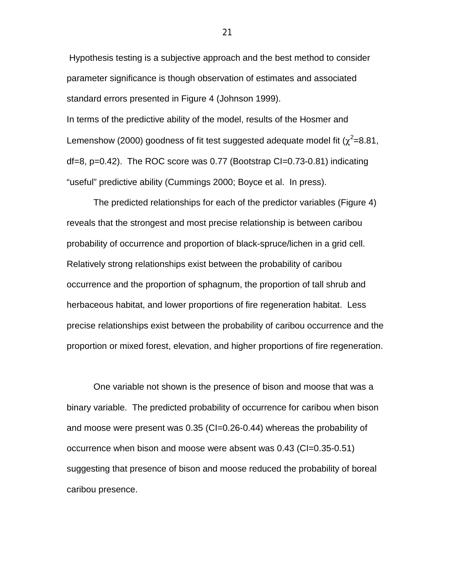Hypothesis testing is a subjective approach and the best method to consider parameter significance is though observation of estimates and associated standard errors presented in Figure 4 (Johnson 1999). In terms of the predictive ability of the model, results of the Hosmer and Lemenshow (2000) goodness of fit test suggested adequate model fit ( $\chi^2$ =8.81, df=8, p=0.42). The ROC score was 0.77 (Bootstrap CI=0.73-0.81) indicating "useful" predictive ability (Cummings 2000; Boyce et al. In press).

The predicted relationships for each of the predictor variables (Figure 4) reveals that the strongest and most precise relationship is between caribou probability of occurrence and proportion of black-spruce/lichen in a grid cell. Relatively strong relationships exist between the probability of caribou occurrence and the proportion of sphagnum, the proportion of tall shrub and herbaceous habitat, and lower proportions of fire regeneration habitat. Less precise relationships exist between the probability of caribou occurrence and the proportion or mixed forest, elevation, and higher proportions of fire regeneration.

One variable not shown is the presence of bison and moose that was a binary variable. The predicted probability of occurrence for caribou when bison and moose were present was 0.35 (CI=0.26-0.44) whereas the probability of occurrence when bison and moose were absent was 0.43 (CI=0.35-0.51) suggesting that presence of bison and moose reduced the probability of boreal caribou presence.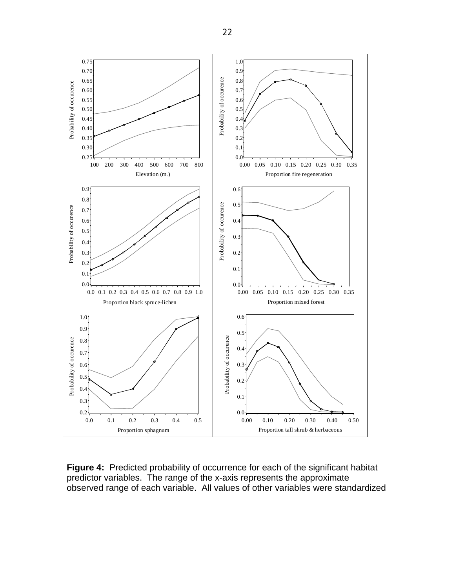

**Figure 4:** Predicted probability of occurrence for each of the significant habitat predictor variables. The range of the x-axis represents the approximate<br>observed range of each variable. All values of other variables were standardized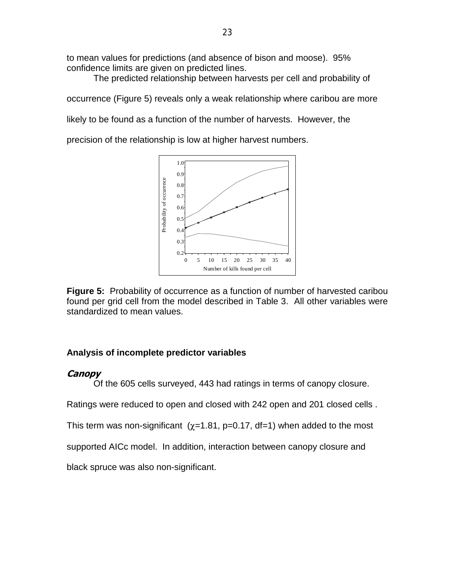to mean values for predictions (and absence of bison and moose). 95% confidence limits are given on predicted lines.

The predicted relationship between harvests per cell and probability of

occurrence (Figure 5) reveals only a weak relationship where caribou are more

likely to be found as a function of the number of harvests. However, the

precision of the relationship is low at higher harvest numbers.



**Figure 5:** Probability of occurrence as a function of number of harvested caribou found per grid cell from the model described in Table 3. All other variables were standardized to mean values.

# **Analysis of incomplete predictor variables**

# **Canopy**

Of the 605 cells surveyed, 443 had ratings in terms of canopy closure.

Ratings were reduced to open and closed with 242 open and 201 closed cells .

This term was non-significant  $(x=1.81, p=0.17, df=1)$  when added to the most

supported AICc model. In addition, interaction between canopy closure and

black spruce was also non-significant.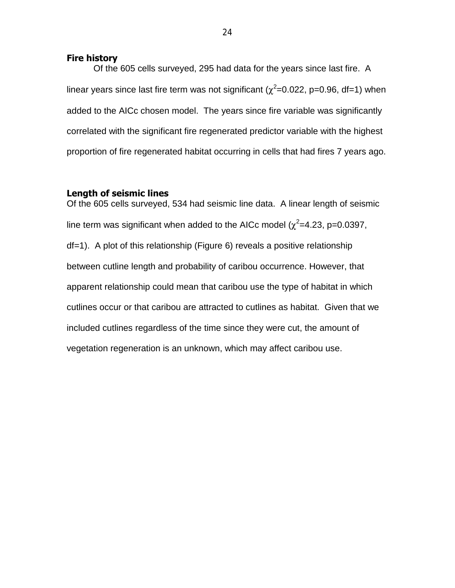### **Fire history**

Of the 605 cells surveyed, 295 had data for the years since last fire. A linear years since last fire term was not significant ( $\chi^2$ =0.022, p=0.96, df=1) when added to the AICc chosen model. The years since fire variable was significantly correlated with the significant fire regenerated predictor variable with the highest proportion of fire regenerated habitat occurring in cells that had fires 7 years ago.

## **Length of seismic lines**

Of the 605 cells surveyed, 534 had seismic line data. A linear length of seismic line term was significant when added to the AICc model ( $\chi^2$ =4.23, p=0.0397, df=1). A plot of this relationship (Figure 6) reveals a positive relationship between cutline length and probability of caribou occurrence. However, that apparent relationship could mean that caribou use the type of habitat in which cutlines occur or that caribou are attracted to cutlines as habitat. Given that we included cutlines regardless of the time since they were cut, the amount of vegetation regeneration is an unknown, which may affect caribou use.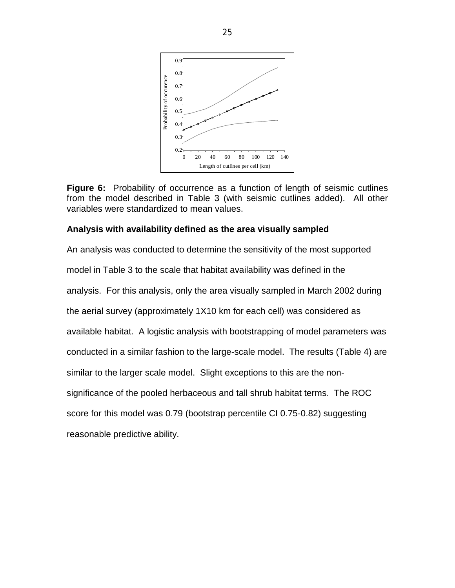

**Figure 6:** Probability of occurrence as a function of length of seismic cutlines from the model described in Table 3 (with seismic cutlines added). All other variables were standardized to mean values.

## **Analysis with availability defined as the area visually sampled**

An analysis was conducted to determine the sensitivity of the most supported model in Table 3 to the scale that habitat availability was defined in the analysis. For this analysis, only the area visually sampled in March 2002 during the aerial survey (approximately 1X10 km for each cell) was considered as available habitat. A logistic analysis with bootstrapping of model parameters was conducted in a similar fashion to the large-scale model. The results (Table 4) are similar to the larger scale model. Slight exceptions to this are the nonsignificance of the pooled herbaceous and tall shrub habitat terms. The ROC score for this model was 0.79 (bootstrap percentile CI 0.75-0.82) suggesting reasonable predictive ability.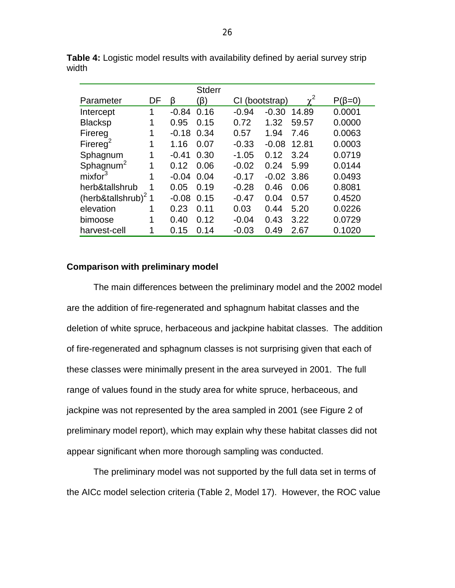|                                 |    |         | <b>Stderr</b> |         |              |            |              |
|---------------------------------|----|---------|---------------|---------|--------------|------------|--------------|
| Parameter                       | DF | ß       | (ß)           | СL      | (bootstrap)  | $\gamma^2$ | $P(\beta=0)$ |
| Intercept                       | 1  | $-0.84$ | 0.16          | $-0.94$ | $-0.30$      | 14.89      | 0.0001       |
| <b>Blacksp</b>                  | 1  | 0.95    | 0.15          | 0.72    | 1.32         | 59.57      | 0.0000       |
| Firereg                         | 1  | $-0.18$ | 0.34          | 0.57    | 1.94         | 7.46       | 0.0063       |
| Firereg <sup>2</sup>            | 1  | 1.16    | 0.07          | $-0.33$ | $-0.08$      | 12.81      | 0.0003       |
| Sphagnum                        | 1  | $-0.41$ | 0.30          | $-1.05$ | 0.12         | 3.24       | 0.0719       |
| Sphagnum <sup>2</sup>           | 1  | 0.12    | 0.06          | $-0.02$ | 0.24         | 5.99       | 0.0144       |
| mixfor <sup>3</sup>             | 1  | $-0.04$ | 0.04          | $-0.17$ | $-0.02$ 3.86 |            | 0.0493       |
| herb&tallshrub                  | 1  | 0.05    | 0.19          | $-0.28$ | 0.46         | 0.06       | 0.8081       |
| (herb&tallshrub) <sup>2</sup> 1 |    | $-0.08$ | 0.15          | $-0.47$ | 0.04         | 0.57       | 0.4520       |
| elevation                       | 1  | 0.23    | 0.11          | 0.03    | 0.44         | 5.20       | 0.0226       |
| bimoose                         | 1  | 0.40    | 0.12          | $-0.04$ | 0.43         | 3.22       | 0.0729       |
| harvest-cell                    | 1  | 0.15    | 0.14          | $-0.03$ | 0.49         | 2.67       | 0.1020       |

**Table 4:** Logistic model results with availability defined by aerial survey strip width

## **Comparison with preliminary model**

The main differences between the preliminary model and the 2002 model are the addition of fire-regenerated and sphagnum habitat classes and the deletion of white spruce, herbaceous and jackpine habitat classes. The addition of fire-regenerated and sphagnum classes is not surprising given that each of these classes were minimally present in the area surveyed in 2001. The full range of values found in the study area for white spruce, herbaceous, and jackpine was not represented by the area sampled in 2001 (see Figure 2 of preliminary model report), which may explain why these habitat classes did not appear significant when more thorough sampling was conducted.

The preliminary model was not supported by the full data set in terms of the AICc model selection criteria (Table 2, Model 17). However, the ROC value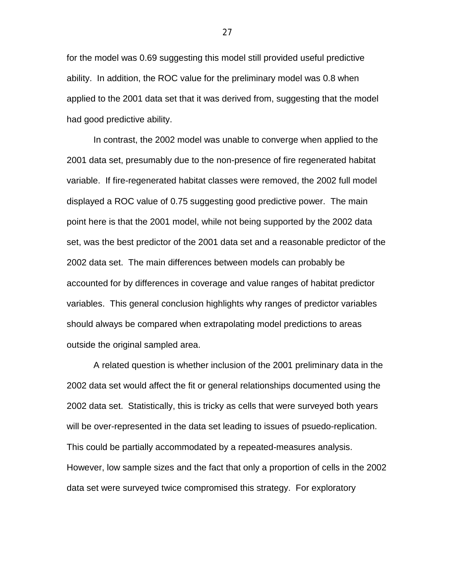for the model was 0.69 suggesting this model still provided useful predictive ability. In addition, the ROC value for the preliminary model was 0.8 when applied to the 2001 data set that it was derived from, suggesting that the model had good predictive ability.

In contrast, the 2002 model was unable to converge when applied to the 2001 data set, presumably due to the non-presence of fire regenerated habitat variable. If fire-regenerated habitat classes were removed, the 2002 full model displayed a ROC value of 0.75 suggesting good predictive power. The main point here is that the 2001 model, while not being supported by the 2002 data set, was the best predictor of the 2001 data set and a reasonable predictor of the 2002 data set. The main differences between models can probably be accounted for by differences in coverage and value ranges of habitat predictor variables. This general conclusion highlights why ranges of predictor variables should always be compared when extrapolating model predictions to areas outside the original sampled area.

A related question is whether inclusion of the 2001 preliminary data in the 2002 data set would affect the fit or general relationships documented using the 2002 data set. Statistically, this is tricky as cells that were surveyed both years will be over-represented in the data set leading to issues of psuedo-replication. This could be partially accommodated by a repeated-measures analysis. However, low sample sizes and the fact that only a proportion of cells in the 2002 data set were surveyed twice compromised this strategy. For exploratory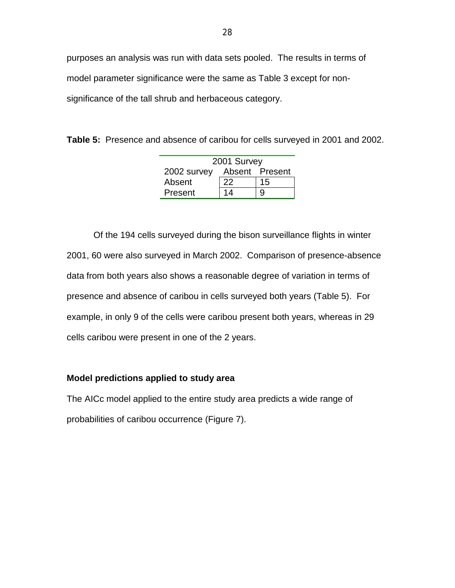purposes an analysis was run with data sets pooled. The results in terms of model parameter significance were the same as Table 3 except for nonsignificance of the tall shrub and herbaceous category.

**Table 5:** Presence and absence of caribou for cells surveyed in 2001 and 2002.

| 2001 Survey |    |                |  |  |  |  |  |
|-------------|----|----------------|--|--|--|--|--|
| 2002 survey |    | Absent Present |  |  |  |  |  |
| Absent      | 22 | 15             |  |  |  |  |  |
| Present     | 14 | 9              |  |  |  |  |  |

Of the 194 cells surveyed during the bison surveillance flights in winter 2001, 60 were also surveyed in March 2002. Comparison of presence-absence data from both years also shows a reasonable degree of variation in terms of presence and absence of caribou in cells surveyed both years (Table 5). For example, in only 9 of the cells were caribou present both years, whereas in 29 cells caribou were present in one of the 2 years.

## **Model predictions applied to study area**

The AICc model applied to the entire study area predicts a wide range of probabilities of caribou occurrence (Figure 7).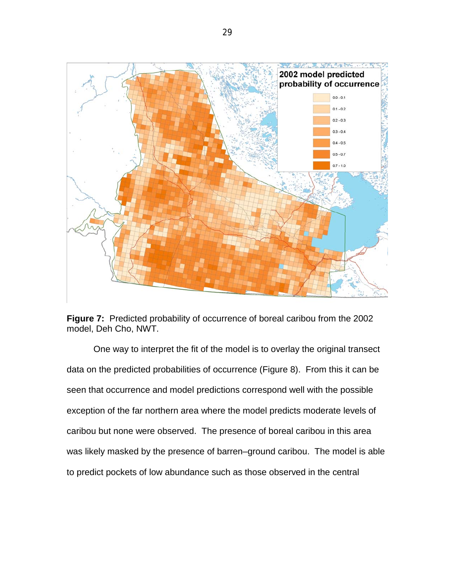

**Figure 7:** Predicted probability of occurrence of boreal caribou from the 2002 model, Deh Cho, NWT.

One way to interpret the fit of the model is to overlay the original transect data on the predicted probabilities of occurrence (Figure 8). From this it can be seen that occurrence and model predictions correspond well with the possible exception of the far northern area where the model predicts moderate levels of caribou but none were observed. The presence of boreal caribou in this area was likely masked by the presence of barren–ground caribou. The model is able to predict pockets of low abundance such as those observed in the central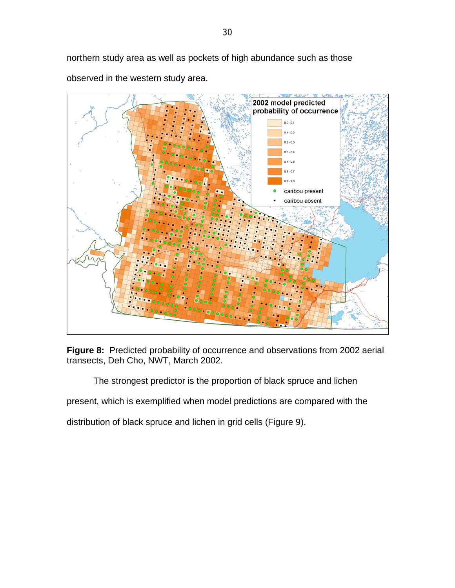northern study area as well as pockets of high abundance such as those observed in the western study area.



**Figure 8:** Predicted probability of occurrence and observations from 2002 aerial transects, Deh Cho, NWT, March 2002.

The strongest predictor is the proportion of black spruce and lichen

present, which is exemplified when model predictions are compared with the

distribution of black spruce and lichen in grid cells (Figure 9).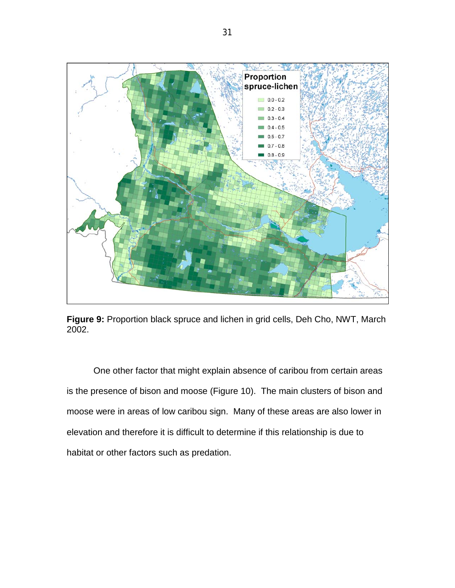

**Figure 9:** Proportion black spruce and lichen in grid cells, Deh Cho, NWT, March 2002.

One other factor that might explain absence of caribou from certain areas is the presence of bison and moose (Figure 10). The main clusters of bison and moose were in areas of low caribou sign. Many of these areas are also lower in elevation and therefore it is difficult to determine if this relationship is due to habitat or other factors such as predation.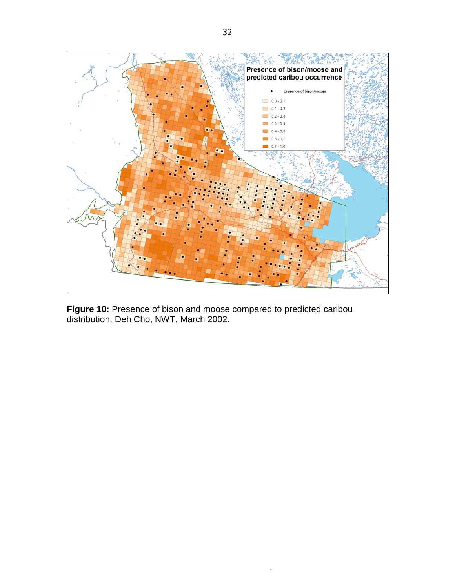

**Figure 10:** Presence of bison and moose compared to predicted caribou distribution, Deh Cho, NWT, March 2002.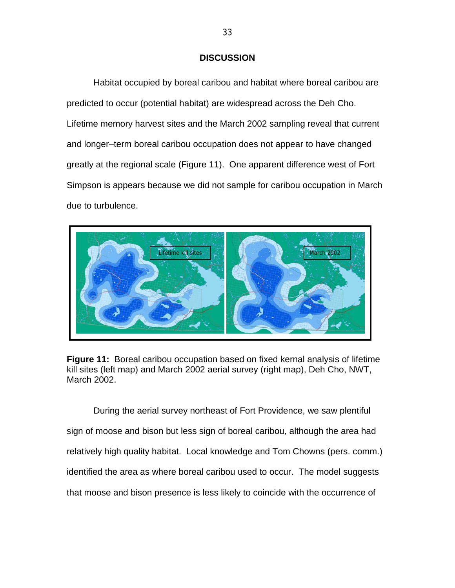### **DISCUSSION**

Habitat occupied by boreal caribou and habitat where boreal caribou are predicted to occur (potential habitat) are widespread across the Deh Cho. Lifetime memory harvest sites and the March 2002 sampling reveal that current and longer–term boreal caribou occupation does not appear to have changed greatly at the regional scale (Figure 11). One apparent difference west of Fort Simpson is appears because we did not sample for caribou occupation in March due to turbulence.



**Figure 11:** Boreal caribou occupation based on fixed kernal analysis of lifetime kill sites (left map) and March 2002 aerial survey (right map), Deh Cho, NWT, March 2002.

During the aerial survey northeast of Fort Providence, we saw plentiful sign of moose and bison but less sign of boreal caribou, although the area had relatively high quality habitat. Local knowledge and Tom Chowns (pers. comm.) identified the area as where boreal caribou used to occur. The model suggests that moose and bison presence is less likely to coincide with the occurrence of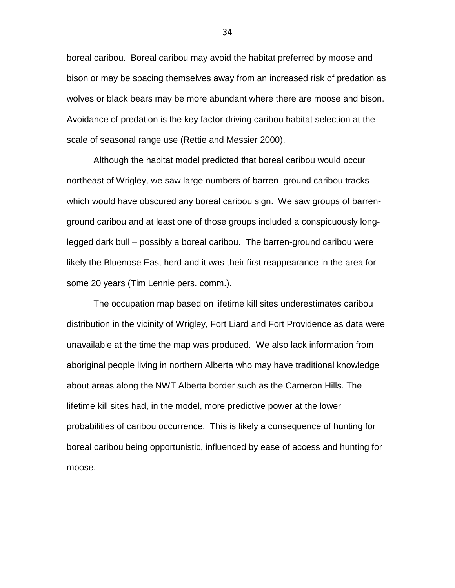boreal caribou. Boreal caribou may avoid the habitat preferred by moose and bison or may be spacing themselves away from an increased risk of predation as wolves or black bears may be more abundant where there are moose and bison. Avoidance of predation is the key factor driving caribou habitat selection at the scale of seasonal range use (Rettie and Messier 2000).

Although the habitat model predicted that boreal caribou would occur northeast of Wrigley, we saw large numbers of barren–ground caribou tracks which would have obscured any boreal caribou sign. We saw groups of barrenground caribou and at least one of those groups included a conspicuously longlegged dark bull – possibly a boreal caribou. The barren-ground caribou were likely the Bluenose East herd and it was their first reappearance in the area for some 20 years (Tim Lennie pers. comm.).

The occupation map based on lifetime kill sites underestimates caribou distribution in the vicinity of Wrigley, Fort Liard and Fort Providence as data were unavailable at the time the map was produced. We also lack information from aboriginal people living in northern Alberta who may have traditional knowledge about areas along the NWT Alberta border such as the Cameron Hills. The lifetime kill sites had, in the model, more predictive power at the lower probabilities of caribou occurrence. This is likely a consequence of hunting for boreal caribou being opportunistic, influenced by ease of access and hunting for moose.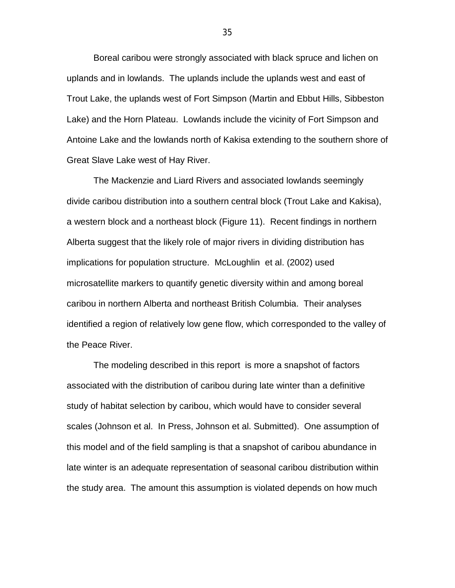Boreal caribou were strongly associated with black spruce and lichen on uplands and in lowlands. The uplands include the uplands west and east of Trout Lake, the uplands west of Fort Simpson (Martin and Ebbut Hills, Sibbeston Lake) and the Horn Plateau. Lowlands include the vicinity of Fort Simpson and Antoine Lake and the lowlands north of Kakisa extending to the southern shore of Great Slave Lake west of Hay River.

The Mackenzie and Liard Rivers and associated lowlands seemingly divide caribou distribution into a southern central block (Trout Lake and Kakisa), a western block and a northeast block (Figure 11). Recent findings in northern Alberta suggest that the likely role of major rivers in dividing distribution has implications for population structure. McLoughlin et al. (2002) used microsatellite markers to quantify genetic diversity within and among boreal caribou in northern Alberta and northeast British Columbia. Their analyses identified a region of relatively low gene flow, which corresponded to the valley of the Peace River.

The modeling described in this report is more a snapshot of factors associated with the distribution of caribou during late winter than a definitive study of habitat selection by caribou, which would have to consider several scales (Johnson et al. In Press, Johnson et al. Submitted). One assumption of this model and of the field sampling is that a snapshot of caribou abundance in late winter is an adequate representation of seasonal caribou distribution within the study area. The amount this assumption is violated depends on how much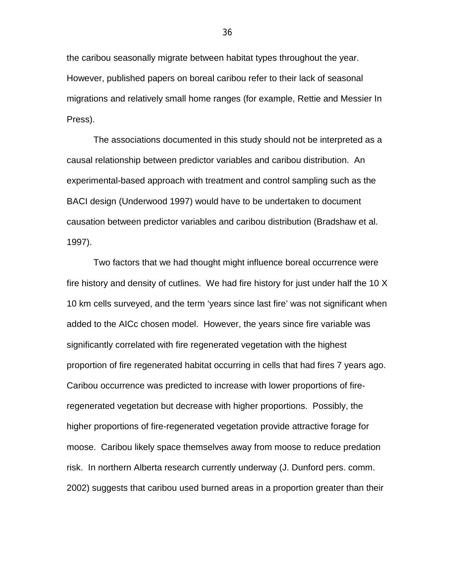the caribou seasonally migrate between habitat types throughout the year. However, published papers on boreal caribou refer to their lack of seasonal migrations and relatively small home ranges (for example, Rettie and Messier In Press).

The associations documented in this study should not be interpreted as a causal relationship between predictor variables and caribou distribution. An experimental-based approach with treatment and control sampling such as the BACI design (Underwood 1997) would have to be undertaken to document causation between predictor variables and caribou distribution (Bradshaw et al. 1997).

Two factors that we had thought might influence boreal occurrence were fire history and density of cutlines. We had fire history for just under half the 10 X 10 km cells surveyed, and the term 'years since last fire' was not significant when added to the AICc chosen model. However, the years since fire variable was significantly correlated with fire regenerated vegetation with the highest proportion of fire regenerated habitat occurring in cells that had fires 7 years ago. Caribou occurrence was predicted to increase with lower proportions of fireregenerated vegetation but decrease with higher proportions. Possibly, the higher proportions of fire-regenerated vegetation provide attractive forage for moose. Caribou likely space themselves away from moose to reduce predation risk. In northern Alberta research currently underway (J. Dunford pers. comm. 2002) suggests that caribou used burned areas in a proportion greater than their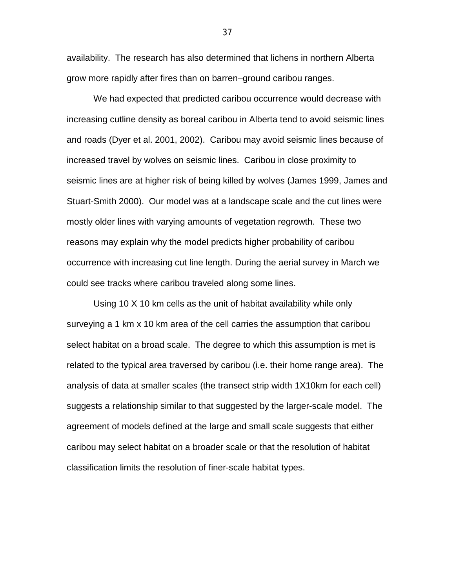availability. The research has also determined that lichens in northern Alberta grow more rapidly after fires than on barren–ground caribou ranges.

We had expected that predicted caribou occurrence would decrease with increasing cutline density as boreal caribou in Alberta tend to avoid seismic lines and roads (Dyer et al. 2001, 2002). Caribou may avoid seismic lines because of increased travel by wolves on seismic lines. Caribou in close proximity to seismic lines are at higher risk of being killed by wolves (James 1999, James and Stuart-Smith 2000). Our model was at a landscape scale and the cut lines were mostly older lines with varying amounts of vegetation regrowth. These two reasons may explain why the model predicts higher probability of caribou occurrence with increasing cut line length. During the aerial survey in March we could see tracks where caribou traveled along some lines.

Using 10 X 10 km cells as the unit of habitat availability while only surveying a 1 km x 10 km area of the cell carries the assumption that caribou select habitat on a broad scale. The degree to which this assumption is met is related to the typical area traversed by caribou (i.e. their home range area). The analysis of data at smaller scales (the transect strip width 1X10km for each cell) suggests a relationship similar to that suggested by the larger-scale model. The agreement of models defined at the large and small scale suggests that either caribou may select habitat on a broader scale or that the resolution of habitat classification limits the resolution of finer-scale habitat types.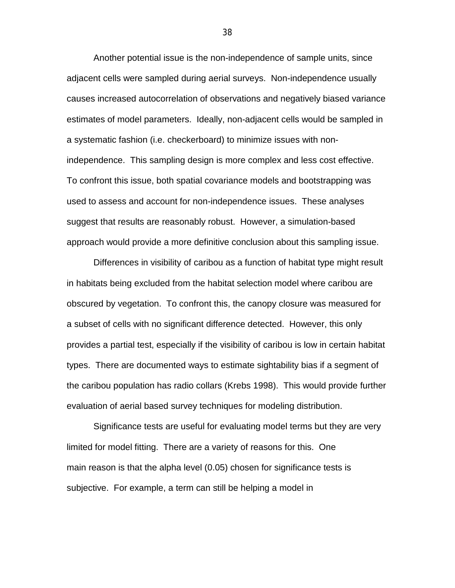Another potential issue is the non-independence of sample units, since adjacent cells were sampled during aerial surveys. Non-independence usually causes increased autocorrelation of observations and negatively biased variance estimates of model parameters. Ideally, non-adjacent cells would be sampled in a systematic fashion (i.e. checkerboard) to minimize issues with nonindependence. This sampling design is more complex and less cost effective. To confront this issue, both spatial covariance models and bootstrapping was used to assess and account for non-independence issues. These analyses suggest that results are reasonably robust. However, a simulation-based approach would provide a more definitive conclusion about this sampling issue.

Differences in visibility of caribou as a function of habitat type might result in habitats being excluded from the habitat selection model where caribou are obscured by vegetation. To confront this, the canopy closure was measured for a subset of cells with no significant difference detected. However, this only provides a partial test, especially if the visibility of caribou is low in certain habitat types. There are documented ways to estimate sightability bias if a segment of the caribou population has radio collars (Krebs 1998). This would provide further evaluation of aerial based survey techniques for modeling distribution.

Significance tests are useful for evaluating model terms but they are very limited for model fitting. There are a variety of reasons for this. One main reason is that the alpha level (0.05) chosen for significance tests is subjective. For example, a term can still be helping a model in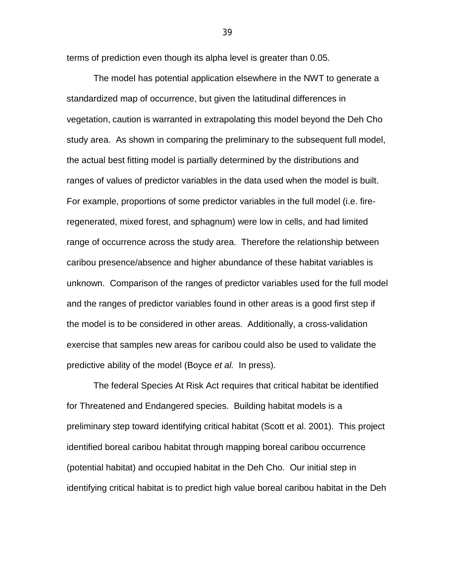terms of prediction even though its alpha level is greater than 0.05.

The model has potential application elsewhere in the NWT to generate a standardized map of occurrence, but given the latitudinal differences in vegetation, caution is warranted in extrapolating this model beyond the Deh Cho study area. As shown in comparing the preliminary to the subsequent full model, the actual best fitting model is partially determined by the distributions and ranges of values of predictor variables in the data used when the model is built. For example, proportions of some predictor variables in the full model (i.e. fireregenerated, mixed forest, and sphagnum) were low in cells, and had limited range of occurrence across the study area. Therefore the relationship between caribou presence/absence and higher abundance of these habitat variables is unknown. Comparison of the ranges of predictor variables used for the full model and the ranges of predictor variables found in other areas is a good first step if the model is to be considered in other areas. Additionally, a cross-validation exercise that samples new areas for caribou could also be used to validate the predictive ability of the model (Boyce *et al.* In press).

The federal Species At Risk Act requires that critical habitat be identified for Threatened and Endangered species. Building habitat models is a preliminary step toward identifying critical habitat (Scott et al. 2001). This project identified boreal caribou habitat through mapping boreal caribou occurrence (potential habitat) and occupied habitat in the Deh Cho. Our initial step in identifying critical habitat is to predict high value boreal caribou habitat in the Deh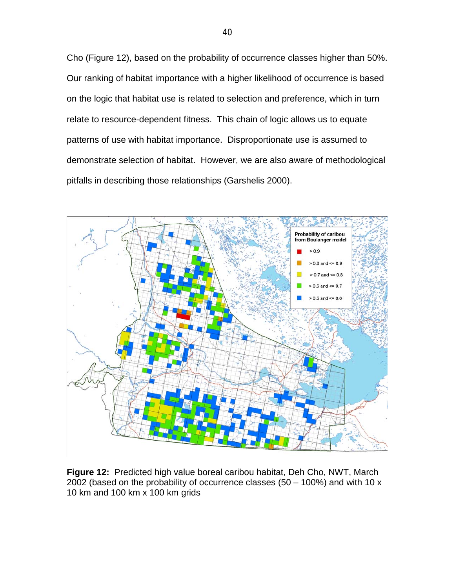Cho (Figure 12), based on the probability of occurrence classes higher than 50%. Our ranking of habitat importance with a higher likelihood of occurrence is based on the logic that habitat use is related to selection and preference, which in turn relate to resource-dependent fitness. This chain of logic allows us to equate patterns of use with habitat importance. Disproportionate use is assumed to demonstrate selection of habitat. However, we are also aware of methodological pitfalls in describing those relationships (Garshelis 2000).



**Figure 12:** Predicted high value boreal caribou habitat, Deh Cho, NWT, March 2002 (based on the probability of occurrence classes  $(50 - 100\%)$  and with 10 x 10 km and 100 km x 100 km grids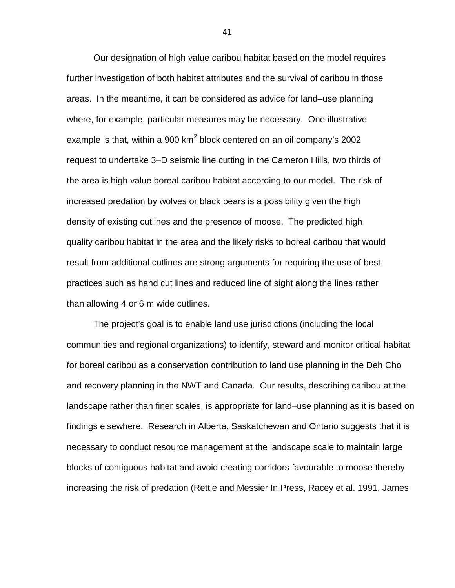Our designation of high value caribou habitat based on the model requires further investigation of both habitat attributes and the survival of caribou in those areas. In the meantime, it can be considered as advice for land–use planning where, for example, particular measures may be necessary. One illustrative example is that, within a 900  $km^2$  block centered on an oil company's 2002 request to undertake 3–D seismic line cutting in the Cameron Hills, two thirds of the area is high value boreal caribou habitat according to our model. The risk of increased predation by wolves or black bears is a possibility given the high density of existing cutlines and the presence of moose. The predicted high quality caribou habitat in the area and the likely risks to boreal caribou that would result from additional cutlines are strong arguments for requiring the use of best practices such as hand cut lines and reduced line of sight along the lines rather than allowing 4 or 6 m wide cutlines.

The project's goal is to enable land use jurisdictions (including the local communities and regional organizations) to identify, steward and monitor critical habitat for boreal caribou as a conservation contribution to land use planning in the Deh Cho and recovery planning in the NWT and Canada. Our results, describing caribou at the landscape rather than finer scales, is appropriate for land–use planning as it is based on findings elsewhere. Research in Alberta, Saskatchewan and Ontario suggests that it is necessary to conduct resource management at the landscape scale to maintain large blocks of contiguous habitat and avoid creating corridors favourable to moose thereby increasing the risk of predation (Rettie and Messier In Press, Racey et al. 1991, James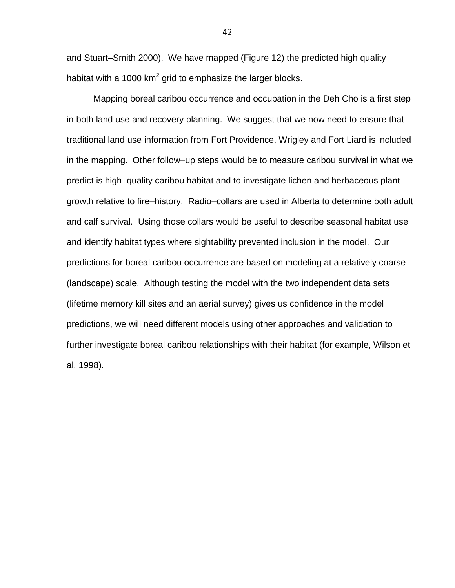and Stuart–Smith 2000). We have mapped (Figure 12) the predicted high quality habitat with a 1000 km<sup>2</sup> grid to emphasize the larger blocks.

Mapping boreal caribou occurrence and occupation in the Deh Cho is a first step in both land use and recovery planning. We suggest that we now need to ensure that traditional land use information from Fort Providence, Wrigley and Fort Liard is included in the mapping. Other follow–up steps would be to measure caribou survival in what we predict is high–quality caribou habitat and to investigate lichen and herbaceous plant growth relative to fire–history. Radio–collars are used in Alberta to determine both adult and calf survival. Using those collars would be useful to describe seasonal habitat use and identify habitat types where sightability prevented inclusion in the model. Our predictions for boreal caribou occurrence are based on modeling at a relatively coarse (landscape) scale. Although testing the model with the two independent data sets (lifetime memory kill sites and an aerial survey) gives us confidence in the model predictions, we will need different models using other approaches and validation to further investigate boreal caribou relationships with their habitat (for example, Wilson et al. 1998).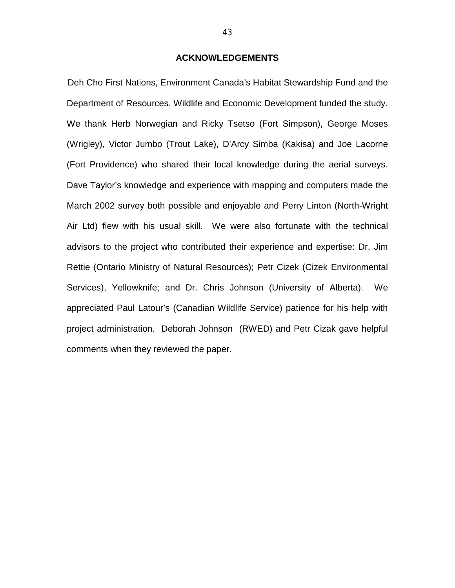### **ACKNOWLEDGEMENTS**

Deh Cho First Nations, Environment Canada's Habitat Stewardship Fund and the Department of Resources, Wildlife and Economic Development funded the study. We thank Herb Norwegian and Ricky Tsetso (Fort Simpson), George Moses (Wrigley), Victor Jumbo (Trout Lake), D'Arcy Simba (Kakisa) and Joe Lacorne (Fort Providence) who shared their local knowledge during the aerial surveys. Dave Taylor's knowledge and experience with mapping and computers made the March 2002 survey both possible and enjoyable and Perry Linton (North-Wright Air Ltd) flew with his usual skill. We were also fortunate with the technical advisors to the project who contributed their experience and expertise: Dr. Jim Rettie (Ontario Ministry of Natural Resources); Petr Cizek (Cizek Environmental Services), Yellowknife; and Dr. Chris Johnson (University of Alberta). We appreciated Paul Latour's (Canadian Wildlife Service) patience for his help with project administration. Deborah Johnson (RWED) and Petr Cizak gave helpful comments when they reviewed the paper.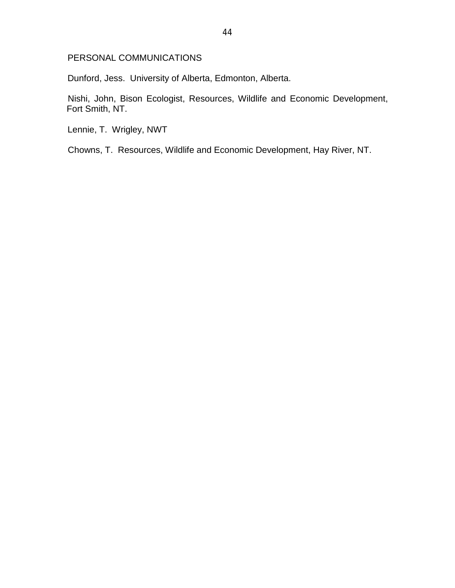## PERSONAL COMMUNICATIONS

Dunford, Jess. University of Alberta, Edmonton, Alberta.

Nishi, John, Bison Ecologist, Resources, Wildlife and Economic Development, Fort Smith, NT.

Lennie, T. Wrigley, NWT

Chowns, T. Resources, Wildlife and Economic Development, Hay River, NT.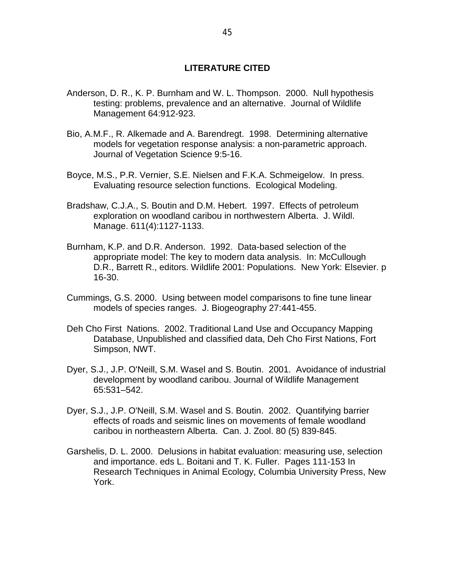## **LITERATURE CITED**

- Anderson, D. R., K. P. Burnham and W. L. Thompson. 2000. Null hypothesis testing: problems, prevalence and an alternative. Journal of Wildlife Management 64:912-923.
- Bio, A.M.F., R. Alkemade and A. Barendregt. 1998. Determining alternative models for vegetation response analysis: a non-parametric approach. Journal of Vegetation Science 9:5-16.
- Boyce, M.S., P.R. Vernier, S.E. Nielsen and F.K.A. Schmeigelow. In press. Evaluating resource selection functions. Ecological Modeling.
- Bradshaw, C.J.A., S. Boutin and D.M. Hebert. 1997. Effects of petroleum exploration on woodland caribou in northwestern Alberta. J. Wildl. Manage. 611(4):1127-1133.
- Burnham, K.P. and D.R. Anderson. 1992. Data-based selection of the appropriate model: The key to modern data analysis. In: McCullough D.R., Barrett R., editors. Wildlife 2001: Populations. New York: Elsevier. p 16-30.
- Cummings, G.S. 2000. Using between model comparisons to fine tune linear models of species ranges. J. Biogeography 27:441-455.
- Deh Cho First Nations. 2002. Traditional Land Use and Occupancy Mapping Database, Unpublished and classified data, Deh Cho First Nations, Fort Simpson, NWT.
- Dyer, S.J., J.P. O'Neill, S.M. Wasel and S. Boutin. 2001. Avoidance of industrial development by woodland caribou. Journal of Wildlife Management 65:531–542.
- Dyer, S.J., J.P. O'Neill, S.M. Wasel and S. Boutin. 2002. Quantifying barrier effects of roads and seismic lines on movements of female woodland caribou in northeastern Alberta. Can. J. Zool. 80 (5) 839-845.
- Garshelis, D. L. 2000. Delusions in habitat evaluation: measuring use, selection and importance. eds L. Boitani and T. K. Fuller. Pages 111-153 In Research Techniques in Animal Ecology, Columbia University Press, New York.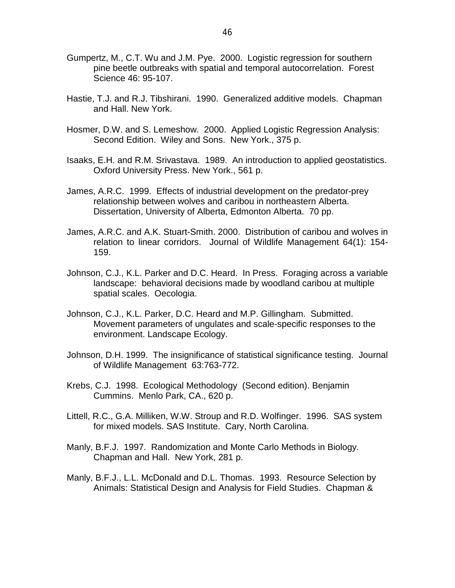- Gumpertz, M., C.T. Wu and J.M. Pye. 2000. Logistic regression for southern pine beetle outbreaks with spatial and temporal autocorrelation. Forest Science 46: 95-107.
- Hastie, T.J. and R.J. Tibshirani. 1990. Generalized additive models. Chapman and Hall. New York.
- Hosmer, D.W. and S. Lemeshow. 2000. Applied Logistic Regression Analysis: Second Edition. Wiley and Sons. New York., 375 p.
- Isaaks, E.H. and R.M. Srivastava. 1989. An introduction to applied geostatistics. Oxford University Press. New York., 561 p.
- James, A.R.C. 1999. Effects of industrial development on the predator-prey relationship between wolves and caribou in northeastern Alberta. Dissertation, University of Alberta, Edmonton Alberta. 70 pp.
- James, A.R.C. and A.K. Stuart-Smith. 2000. Distribution of caribou and wolves in relation to linear corridors. Journal of Wildlife Management 64(1): 154- 159.
- Johnson, C.J., K.L. Parker and D.C. Heard. In Press. Foraging across a variable landscape: behavioral decisions made by woodland caribou at multiple spatial scales. Oecologia.
- Johnson, C.J., K.L. Parker, D.C. Heard and M.P. Gillingham. Submitted. Movement parameters of ungulates and scale-specific responses to the environment. Landscape Ecology.
- Johnson, D.H. 1999. The insignificance of statistical significance testing. Journal of Wildlife Management 63:763-772.
- Krebs, C.J. 1998. Ecological Methodology (Second edition). Benjamin Cummins. Menlo Park, CA., 620 p.
- Littell, R.C., G.A. Milliken, W.W. Stroup and R.D. Wolfinger. 1996. SAS system for mixed models. SAS Institute. Cary, North Carolina.
- Manly, B.F.J. 1997. Randomization and Monte Carlo Methods in Biology. Chapman and Hall. New York, 281 p.
- Manly, B.F.J., L.L. McDonald and D.L. Thomas. 1993. Resource Selection by Animals: Statistical Design and Analysis for Field Studies. Chapman &